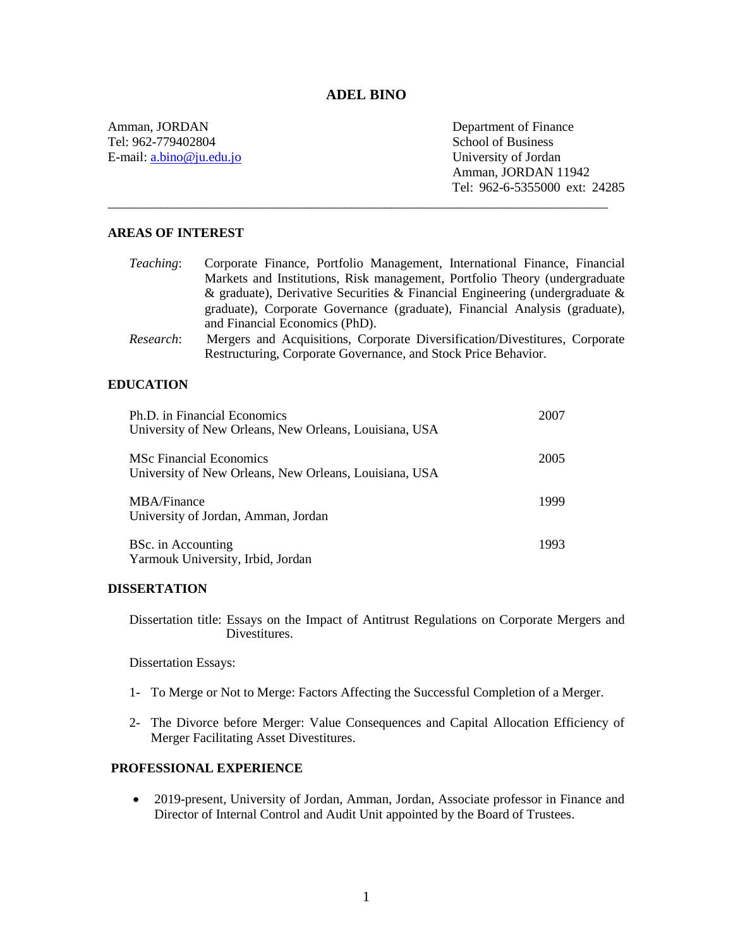# **ADEL BINO**

\_\_\_\_\_\_\_\_\_\_\_\_\_\_\_\_\_\_\_\_\_\_\_\_\_\_\_\_\_\_\_\_\_\_\_\_\_\_\_\_\_\_\_\_\_\_\_\_\_\_\_\_\_\_\_\_\_\_\_\_\_\_\_\_\_\_\_\_\_\_\_\_\_\_\_\_

Amman, JORDAN Tel: 962-779402804 E-mail[: a.bino@ju.edu.jo](mailto:a.bino@ju.edu.jo) Department of Finance School of Business University of Jordan Amman, JORDAN 11942 Tel: 962-6-5355000 ext: 24285

# **AREAS OF INTEREST**

| <i>Teaching:</i> | Corporate Finance, Portfolio Management, International Finance, Financial      |
|------------------|--------------------------------------------------------------------------------|
|                  | Markets and Institutions, Risk management, Portfolio Theory (undergraduate     |
|                  | & graduate), Derivative Securities & Financial Engineering (undergraduate $\&$ |
|                  | graduate), Corporate Governance (graduate), Financial Analysis (graduate),     |
|                  | and Financial Economics (PhD).                                                 |
| Research:        | Mergers and Acquisitions, Corporate Diversification/Divestitures, Corporate    |
|                  | Restructuring, Corporate Governance, and Stock Price Behavior.                 |

#### **EDUCATION**

| Ph.D. in Financial Economics<br>University of New Orleans, New Orleans, Louisiana, USA   | 2007 |
|------------------------------------------------------------------------------------------|------|
| <b>MSc Financial Economics</b><br>University of New Orleans, New Orleans, Louisiana, USA | 2005 |
| MBA/Finance<br>University of Jordan, Amman, Jordan                                       | 1999 |
| BSc. in Accounting<br>Yarmouk University, Irbid, Jordan                                  | 1993 |

#### **DISSERTATION**

Dissertation title: Essays on the Impact of Antitrust Regulations on Corporate Mergers and Divestitures.

Dissertation Essays:

- 1- To Merge or Not to Merge: Factors Affecting the Successful Completion of a Merger.
- 2- The Divorce before Merger: Value Consequences and Capital Allocation Efficiency of Merger Facilitating Asset Divestitures.

#### **PROFESSIONAL EXPERIENCE**

 2019-present, University of Jordan, Amman, Jordan, Associate professor in Finance and Director of Internal Control and Audit Unit appointed by the Board of Trustees.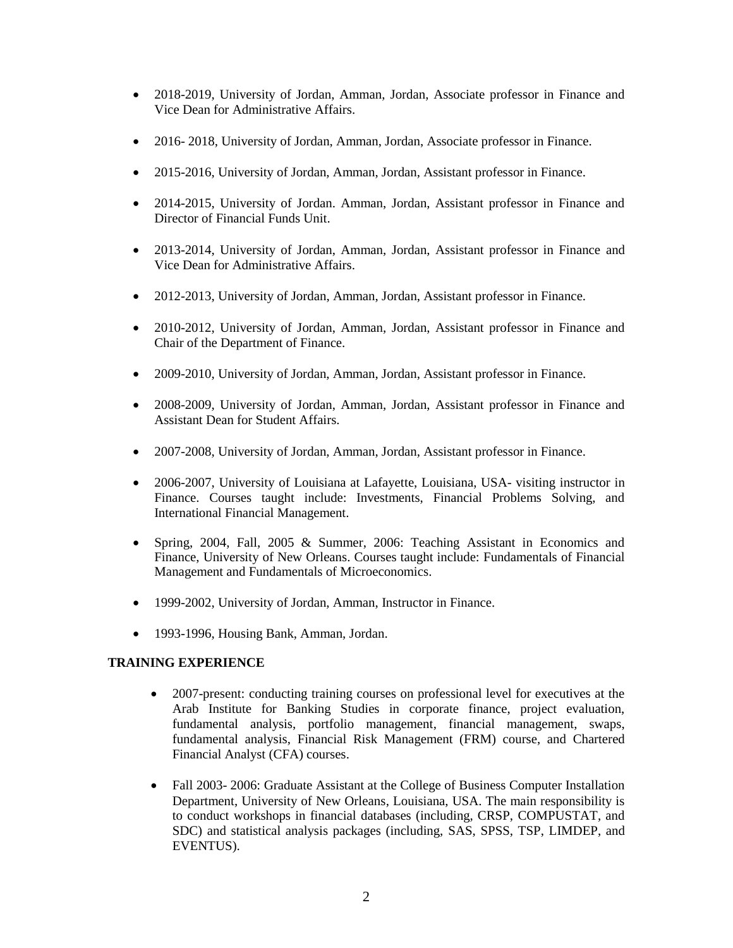- 2018-2019, University of Jordan, Amman, Jordan, Associate professor in Finance and Vice Dean for Administrative Affairs.
- 2016- 2018, University of Jordan, Amman, Jordan, Associate professor in Finance.
- 2015-2016, University of Jordan, Amman, Jordan, Assistant professor in Finance.
- 2014-2015, University of Jordan. Amman, Jordan, Assistant professor in Finance and Director of Financial Funds Unit.
- 2013-2014, University of Jordan, Amman, Jordan, Assistant professor in Finance and Vice Dean for Administrative Affairs.
- 2012-2013, University of Jordan, Amman, Jordan, Assistant professor in Finance.
- 2010-2012, University of Jordan, Amman, Jordan, Assistant professor in Finance and Chair of the Department of Finance.
- 2009-2010, University of Jordan, Amman, Jordan, Assistant professor in Finance.
- 2008-2009, University of Jordan, Amman, Jordan, Assistant professor in Finance and Assistant Dean for Student Affairs.
- 2007-2008, University of Jordan, Amman, Jordan, Assistant professor in Finance.
- 2006-2007, University of Louisiana at Lafayette, Louisiana, USA- visiting instructor in Finance. Courses taught include: Investments, Financial Problems Solving, and International Financial Management.
- Spring, 2004, Fall, 2005 & Summer, 2006: Teaching Assistant in Economics and Finance, University of New Orleans. Courses taught include: Fundamentals of Financial Management and Fundamentals of Microeconomics.
- 1999-2002, University of Jordan, Amman, Instructor in Finance.
- 1993-1996, Housing Bank, Amman, Jordan.

# **TRAINING EXPERIENCE**

- 2007-present: conducting training courses on professional level for executives at the Arab Institute for Banking Studies in corporate finance, project evaluation, fundamental analysis, portfolio management, financial management, swaps, fundamental analysis, Financial Risk Management (FRM) course, and Chartered Financial Analyst (CFA) courses.
- Fall 2003- 2006: Graduate Assistant at the College of Business Computer Installation Department, University of New Orleans, Louisiana, USA. The main responsibility is to conduct workshops in financial databases (including, CRSP, COMPUSTAT, and SDC) and statistical analysis packages (including, SAS, SPSS, TSP, LIMDEP, and EVENTUS).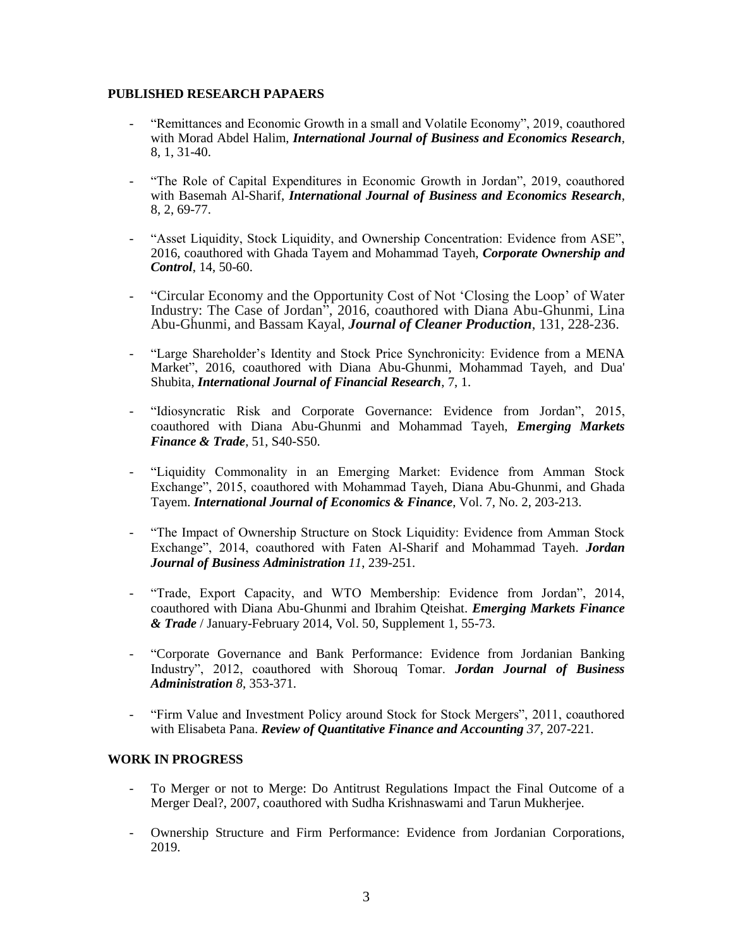#### **PUBLISHED RESEARCH PAPAERS**

- "Remittances and Economic Growth in a small and Volatile Economy", 2019, coauthored with Morad Abdel Halim, *International Journal of Business and Economics Research*, 8, 1, 31-40.
- "The Role of Capital Expenditures in Economic Growth in Jordan", 2019, coauthored with Basemah Al-Sharif, *International Journal of Business and Economics Research*, 8, 2, 69-77.
- "Asset Liquidity, Stock Liquidity, and Ownership Concentration: Evidence from ASE", 2016, coauthored with Ghada Tayem and Mohammad Tayeh, *Corporate Ownership and Control*, 14, 50-60.
- "Circular Economy and the Opportunity Cost of Not 'Closing the Loop' of Water Industry: The Case of Jordan", 2016, coauthored with Diana Abu-Ghunmi, Lina Abu-Ghunmi, and Bassam Kayal, *Journal of Cleaner Production*, 131, 228-236.
- "Large Shareholder's Identity and Stock Price Synchronicity: Evidence from a MENA Market", 2016, coauthored with Diana Abu-Ghunmi, Mohammad Tayeh, and Dua' Shubita, *International Journal of Financial Research*, 7, 1.
- "Idiosyncratic Risk and Corporate Governance: Evidence from Jordan", 2015, coauthored with Diana Abu-Ghunmi and Mohammad Tayeh, *Emerging Markets Finance & Trade*, 51, S40-S50.
- "Liquidity Commonality in an Emerging Market: Evidence from Amman Stock Exchange", 2015, coauthored with Mohammad Tayeh, Diana Abu-Ghunmi, and Ghada Tayem. *International Journal of Economics & Finance*, Vol. 7, No. 2, 203-213.
- "The Impact of Ownership Structure on Stock Liquidity: Evidence from Amman Stock Exchange", 2014, coauthored with Faten Al-Sharif and Mohammad Tayeh. *Jordan Journal of Business Administration 11*, 239-251.
- "Trade, Export Capacity, and WTO Membership: Evidence from Jordan", 2014, coauthored with Diana Abu-Ghunmi and Ibrahim Qteishat. *Emerging Markets Finance & Trade* / January-February 2014, Vol. 50, Supplement 1, 55-73.
- "Corporate Governance and Bank Performance: Evidence from Jordanian Banking Industry", 2012, coauthored with Shorouq Tomar. *Jordan Journal of Business Administration 8*, 353-371.
- "Firm Value and Investment Policy around Stock for Stock Mergers", 2011, coauthored with Elisabeta Pana. *Review of Quantitative Finance and Accounting 37*, 207-221.

# **WORK IN PROGRESS**

- To Merger or not to Merge: Do Antitrust Regulations Impact the Final Outcome of a Merger Deal?, 2007, coauthored with Sudha Krishnaswami and Tarun Mukherjee.
- Ownership Structure and Firm Performance: Evidence from Jordanian Corporations, 2019.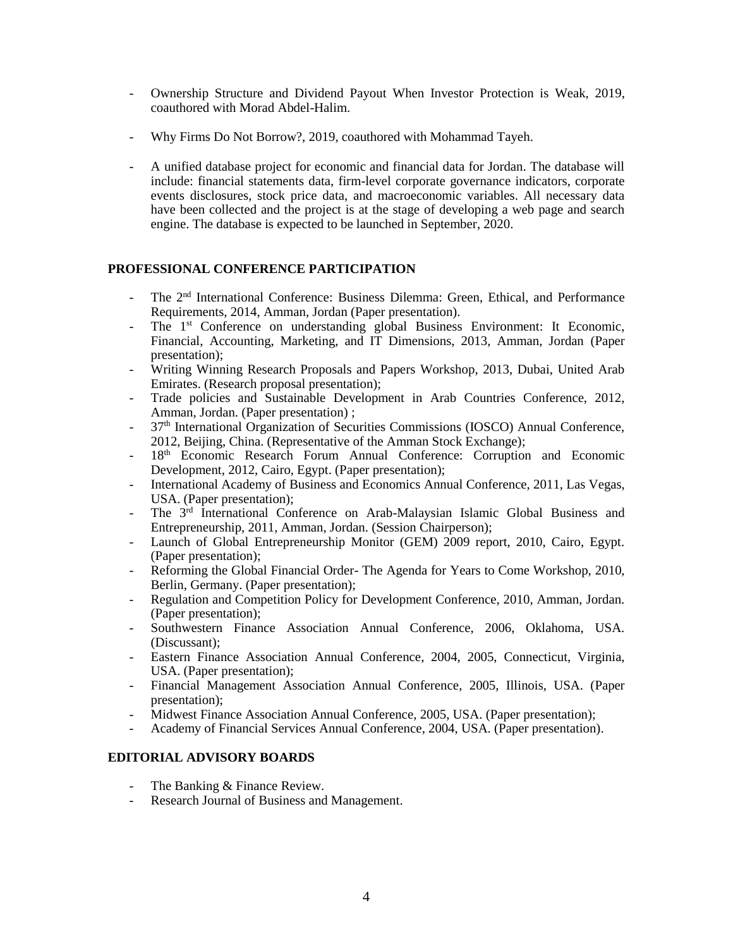- Ownership Structure and Dividend Payout When Investor Protection is Weak, 2019, coauthored with Morad Abdel-Halim.
- Why Firms Do Not Borrow?, 2019, coauthored with Mohammad Tayeh.
- A unified database project for economic and financial data for Jordan. The database will include: financial statements data, firm-level corporate governance indicators, corporate events disclosures, stock price data, and macroeconomic variables. All necessary data have been collected and the project is at the stage of developing a web page and search engine. The database is expected to be launched in September, 2020.

# **PROFESSIONAL CONFERENCE PARTICIPATION**

- <sup>-</sup> The 2<sup>nd</sup> International Conference: Business Dilemma: Green, Ethical, and Performance Requirements, 2014, Amman, Jordan (Paper presentation).
- The 1<sup>st</sup> Conference on understanding global Business Environment: It Economic, Financial, Accounting, Marketing, and IT Dimensions, 2013, Amman, Jordan (Paper presentation);
- Writing Winning Research Proposals and Papers Workshop, 2013, Dubai, United Arab Emirates. (Research proposal presentation);
- Trade policies and Sustainable Development in Arab Countries Conference, 2012, Amman, Jordan. (Paper presentation);
- 37<sup>th</sup> International Organization of Securities Commissions (IOSCO) Annual Conference, 2012, Beijing, China. (Representative of the Amman Stock Exchange);
- 18<sup>th</sup> Economic Research Forum Annual Conference: Corruption and Economic Development, 2012, Cairo, Egypt. (Paper presentation);
- International Academy of Business and Economics Annual Conference, 2011, Las Vegas, USA. (Paper presentation);
- The 3<sup>rd</sup> International Conference on Arab-Malaysian Islamic Global Business and Entrepreneurship, 2011, Amman, Jordan. (Session Chairperson);
- Launch of Global Entrepreneurship Monitor (GEM) 2009 report, 2010, Cairo, Egypt. (Paper presentation);
- Reforming the Global Financial Order- The Agenda for Years to Come Workshop, 2010, Berlin, Germany. (Paper presentation);
- Regulation and Competition Policy for Development Conference, 2010, Amman, Jordan. (Paper presentation);
- Southwestern Finance Association Annual Conference, 2006, Oklahoma, USA. (Discussant);
- Eastern Finance Association Annual Conference, 2004, 2005, Connecticut, Virginia, USA. (Paper presentation);
- Financial Management Association Annual Conference, 2005, Illinois, USA. (Paper presentation);
- Midwest Finance Association Annual Conference, 2005, USA. (Paper presentation);
- Academy of Financial Services Annual Conference, 2004, USA. (Paper presentation).

# **EDITORIAL ADVISORY BOARDS**

- The Banking & Finance Review.
- Research Journal of Business and Management.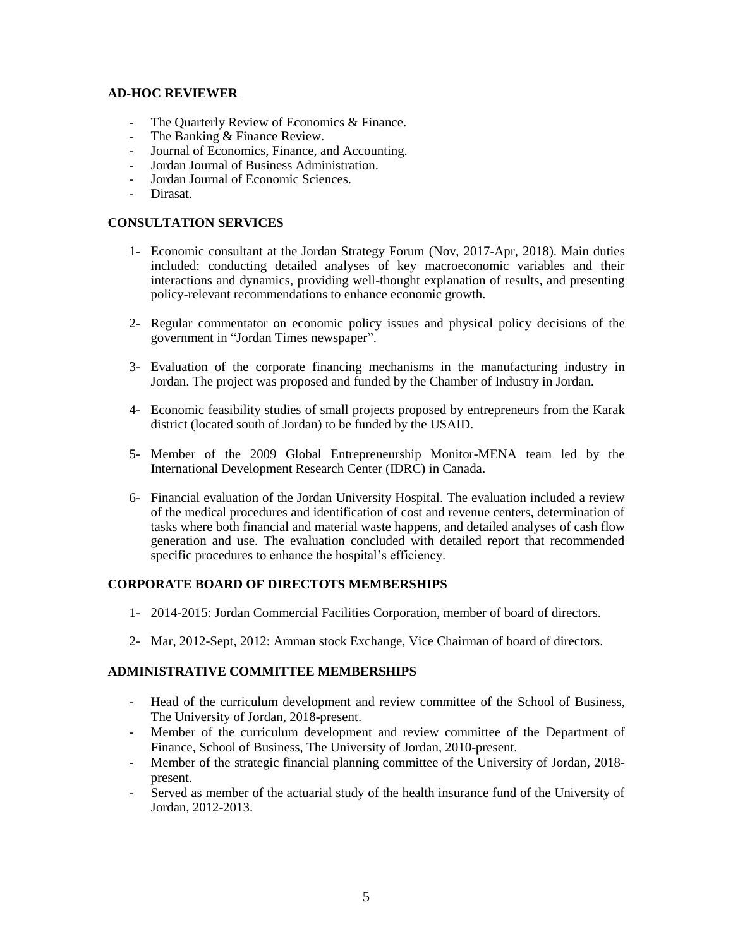#### **AD-HOC REVIEWER**

- The Quarterly Review of Economics & Finance.
- The Banking & Finance Review.
- Journal of Economics, Finance, and Accounting.
- Jordan Journal of Business Administration.
- Jordan Journal of Economic Sciences.
- Dirasat.

#### **CONSULTATION SERVICES**

- 1- Economic consultant at the Jordan Strategy Forum (Nov, 2017-Apr, 2018). Main duties included: conducting detailed analyses of key macroeconomic variables and their interactions and dynamics, providing well-thought explanation of results, and presenting policy-relevant recommendations to enhance economic growth.
- 2- Regular commentator on economic policy issues and physical policy decisions of the government in "Jordan Times newspaper".
- 3- Evaluation of the corporate financing mechanisms in the manufacturing industry in Jordan. The project was proposed and funded by the Chamber of Industry in Jordan.
- 4- Economic feasibility studies of small projects proposed by entrepreneurs from the Karak district (located south of Jordan) to be funded by the USAID.
- 5- Member of the 2009 Global Entrepreneurship Monitor-MENA team led by the International Development Research Center (IDRC) in Canada.
- 6- Financial evaluation of the Jordan University Hospital. The evaluation included a review of the medical procedures and identification of cost and revenue centers, determination of tasks where both financial and material waste happens, and detailed analyses of cash flow generation and use. The evaluation concluded with detailed report that recommended specific procedures to enhance the hospital's efficiency.

# **CORPORATE BOARD OF DIRECTOTS MEMBERSHIPS**

- 1- 2014-2015: Jordan Commercial Facilities Corporation, member of board of directors.
- 2- Mar, 2012-Sept, 2012: Amman stock Exchange, Vice Chairman of board of directors.

# **ADMINISTRATIVE COMMITTEE MEMBERSHIPS**

- Head of the curriculum development and review committee of the School of Business, The University of Jordan, 2018-present.
- Member of the curriculum development and review committee of the Department of Finance, School of Business, The University of Jordan, 2010-present.
- Member of the strategic financial planning committee of the University of Jordan, 2018 present.
- Served as member of the actuarial study of the health insurance fund of the University of Jordan, 2012-2013.